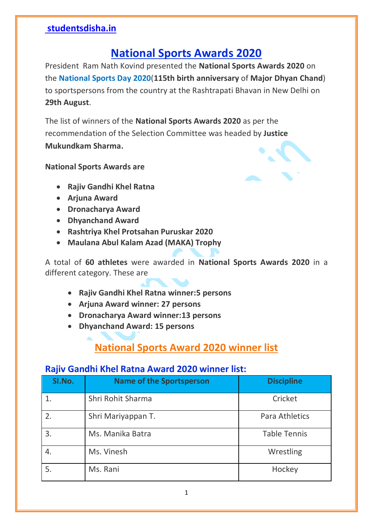## **National Sports Awards 2020**

President Ram Nath Kovind presented the **National Sports Awards 2020** on the **National Sports Day 2020**(**115th birth anniversary** of **Major Dhyan Chand**) to sportspersons from the country at the Rashtrapati Bhavan in New Delhi on **29th August**.

The list of winners of the **National Sports Awards 2020** as per the recommendation of the Selection Committee was headed by **Justice Mukundkam Sharma.**

**National Sports Awards are**



- **Arjuna Award**
- **Dronacharya Award**
- **Dhyanchand Award**
- **Rashtriya Khel Protsahan Puruskar 2020**
- **Maulana Abul Kalam Azad (MAKA) Trophy**

A total of **60 athletes** were awarded in **National Sports Awards 2020** in a different category. These are

- **Rajiv Gandhi Khel Ratna winner:5 persons**
- **Arjuna Award winner: 27 persons**
- **Dronacharya Award winner:13 persons**
- **Dhyanchand Award: 15 persons**

## **National Sports Award 2020 winner list**

#### **Rajiv Gandhi Khel Ratna Award 2020 winner list:**

| SI.No. | <b>Name of the Sportsperson</b> | <b>Discipline</b>   |
|--------|---------------------------------|---------------------|
|        | Shri Rohit Sharma               | Cricket             |
| 2.     | Shri Mariyappan T.              | Para Athletics      |
| 3.     | Ms. Manika Batra                | <b>Table Tennis</b> |
| 4.     | Ms. Vinesh                      | Wrestling           |
| 5.     | Ms. Rani                        | Hockey              |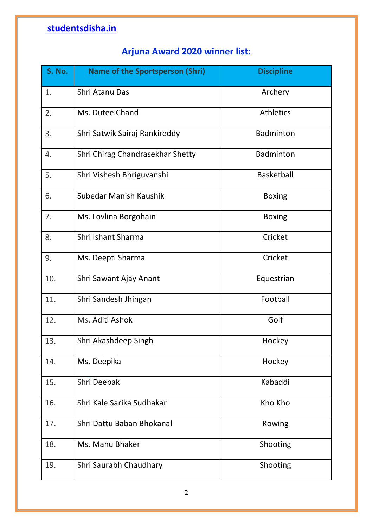### **Arjuna Award 2020 winner list:**

| S. No. | <b>Name of the Sportsperson (Shri)</b> | <b>Discipline</b> |
|--------|----------------------------------------|-------------------|
| 1.     | Shri Atanu Das                         | Archery           |
| 2.     | Ms. Dutee Chand                        | <b>Athletics</b>  |
| 3.     | Shri Satwik Sairaj Rankireddy          | Badminton         |
| 4.     | Shri Chirag Chandrasekhar Shetty       | Badminton         |
| 5.     | Shri Vishesh Bhriguvanshi              | <b>Basketball</b> |
| 6.     | Subedar Manish Kaushik                 | <b>Boxing</b>     |
| 7.     | Ms. Lovlina Borgohain                  | <b>Boxing</b>     |
| 8.     | Shri Ishant Sharma                     | Cricket           |
| 9.     | Ms. Deepti Sharma                      | Cricket           |
| 10.    | Shri Sawant Ajay Anant                 | Equestrian        |
| 11.    | Shri Sandesh Jhingan                   | Football          |
| 12.    | Ms. Aditi Ashok                        | Golf              |
| 13.    | Shri Akashdeep Singh                   | Hockey            |
| 14.    | Ms. Deepika                            | Hockey            |
| 15.    | Shri Deepak                            | Kabaddi           |
| 16.    | Shri Kale Sarika Sudhakar              | Kho Kho           |
| 17.    | Shri Dattu Baban Bhokanal              | Rowing            |
| 18.    | Ms. Manu Bhaker                        | Shooting          |
| 19.    | Shri Saurabh Chaudhary                 | Shooting          |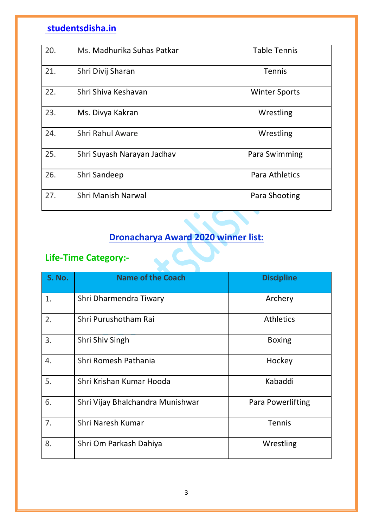| 20. | Ms. Madhurika Suhas Patkar | <b>Table Tennis</b>   |
|-----|----------------------------|-----------------------|
| 21. | Shri Divij Sharan          | <b>Tennis</b>         |
| 22. | Shri Shiva Keshavan        | <b>Winter Sports</b>  |
| 23. | Ms. Divya Kakran           | Wrestling             |
| 24. | <b>Shri Rahul Aware</b>    | Wrestling             |
| 25. | Shri Suyash Narayan Jadhav | Para Swimming         |
| 26. | Shri Sandeep               | <b>Para Athletics</b> |
| 27. | <b>Shri Manish Narwal</b>  | Para Shooting         |

### **Dronacharya Award 2020 winner list:**

 $\bullet$ 

#### **Life-Time Category:-**

| S. No. | <b>Name of the Coach</b>         | <b>Discipline</b> |
|--------|----------------------------------|-------------------|
| 1.     | Shri Dharmendra Tiwary           | Archery           |
| 2.     | Shri Purushotham Rai             | <b>Athletics</b>  |
| 3.     | Shri Shiv Singh                  | <b>Boxing</b>     |
| 4.     | Shri Romesh Pathania             | Hockey            |
| 5.     | Shri Krishan Kumar Hooda         | Kabaddi           |
| 6.     | Shri Vijay Bhalchandra Munishwar | Para Powerlifting |
| 7.     | Shri Naresh Kumar                | <b>Tennis</b>     |
| 8.     | Shri Om Parkash Dahiya           | Wrestling         |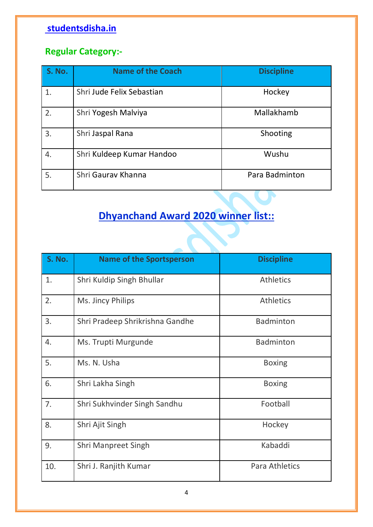### **Regular Category:-**

| <b>S. No.</b> | <b>Name of the Coach</b>  | <b>Discipline</b> |
|---------------|---------------------------|-------------------|
|               | Shri Jude Felix Sebastian | Hockey            |
| 2.            | Shri Yogesh Malviya       | Mallakhamb        |
| 3.            | Shri Jaspal Rana          | Shooting          |
| 4.            | Shri Kuldeep Kumar Handoo | Wushu             |
| 5.            | Shri Gaurav Khanna        | Para Badminton    |

# **Dhyanchand Award 2020 winner list::**

| S. No. | <b>Name of the Sportsperson</b> | <b>Discipline</b>     |
|--------|---------------------------------|-----------------------|
| 1.     | Shri Kuldip Singh Bhullar       | <b>Athletics</b>      |
| 2.     | Ms. Jincy Philips               | <b>Athletics</b>      |
| 3.     | Shri Pradeep Shrikrishna Gandhe | <b>Badminton</b>      |
| 4.     | Ms. Trupti Murgunde             | <b>Badminton</b>      |
| 5.     | Ms. N. Usha                     | <b>Boxing</b>         |
| 6.     | Shri Lakha Singh                | <b>Boxing</b>         |
| 7.     | Shri Sukhvinder Singh Sandhu    | Football              |
| 8.     | Shri Ajit Singh                 | Hockey                |
| 9.     | <b>Shri Manpreet Singh</b>      | Kabaddi               |
| 10.    | Shri J. Ranjith Kumar           | <b>Para Athletics</b> |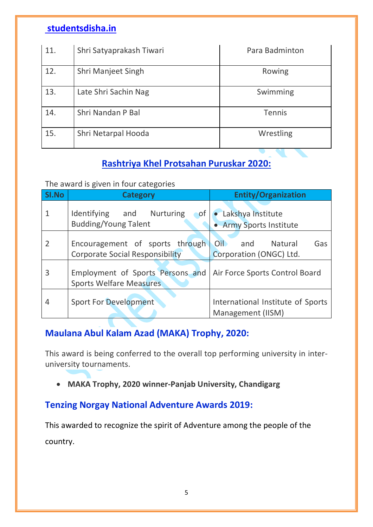| 11. | Shri Satyaprakash Tiwari | Para Badminton |
|-----|--------------------------|----------------|
| 12. | Shri Manjeet Singh       | Rowing         |
| 13. | Late Shri Sachin Nag     | Swimming       |
| 14. | Shri Nandan P Bal        | <b>Tennis</b>  |
| 15. | Shri Netarpal Hooda      | Wrestling      |

#### **Rashtriya Khel Protsahan Puruskar 2020:**

The award is given in four categories

| SI.No          | <b>Category</b>                                                           | <b>Entity/Organization</b>                             |
|----------------|---------------------------------------------------------------------------|--------------------------------------------------------|
|                | Identifying and Nurturing<br>$\bullet$ of<br><b>Budding/Young Talent</b>  | • Lakshya Institute<br>• Army Sports Institute         |
| $\overline{2}$ | Encouragement of sports through<br><b>Corporate Social Responsibility</b> | Oil and<br>Natural<br>Gas<br>Corporation (ONGC) Ltd.   |
| 3              | Employment of Sports Persons and<br><b>Sports Welfare Measures</b>        | Air Force Sports Control Board                         |
| 4              | <b>Sport For Development</b>                                              | International Institute of Sports<br>Management (IISM) |

#### **Maulana Abul Kalam Azad (MAKA) Trophy, 2020:**

This award is being conferred to the overall top performing university in interuniversity tournaments.

**MAKA Trophy, 2020 winner-Panjab University, Chandigarg**

#### **Tenzing Norgay National Adventure Awards 2019:**

This awarded to recognize the spirit of Adventure among the people of the country.